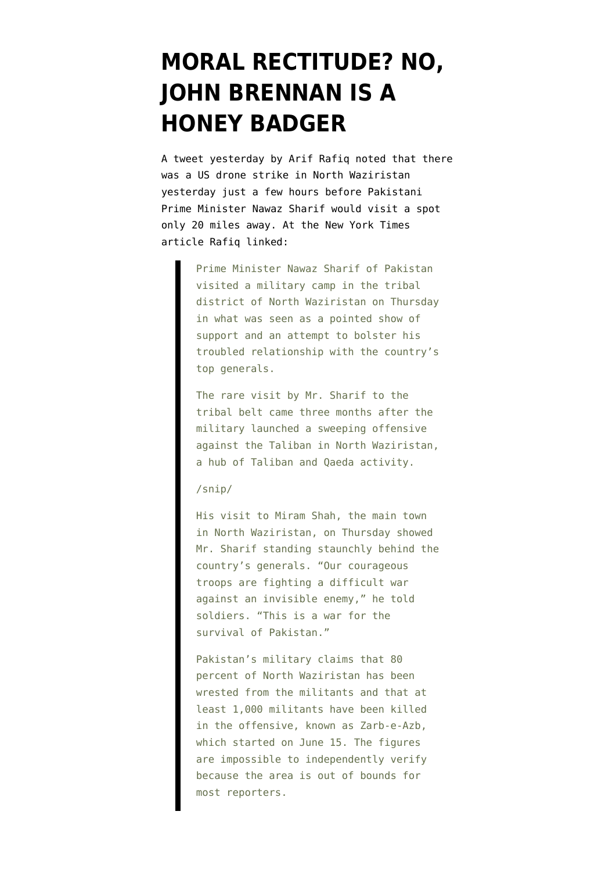## **[MORAL RECTITUDE? NO,](https://www.emptywheel.net/2014/10/10/moral-rectitude-no-john-brennan-is-a-honey-badger/) [JOHN BRENNAN IS A](https://www.emptywheel.net/2014/10/10/moral-rectitude-no-john-brennan-is-a-honey-badger/) [HONEY BADGER](https://www.emptywheel.net/2014/10/10/moral-rectitude-no-john-brennan-is-a-honey-badger/)**

A [tweet yesterday by Arif Rafiq](https://twitter.com/ArifCRafiq/status/520389053347536896) noted that there was a US drone strike in North Waziristan yesterday just a few hours before Pakistani Prime Minister Nawaz Sharif would visit a spot only 20 miles away. At the [New York Times](http://www.nytimes.com/2014/10/10/world/asia/premier-of-pakistan-visits-troops-in-tribal-area.html) [article](http://www.nytimes.com/2014/10/10/world/asia/premier-of-pakistan-visits-troops-in-tribal-area.html) Rafiq linked:

> Prime Minister Nawaz Sharif of Pakistan visited a military camp in the tribal district of North Waziristan on Thursday in what was seen as a pointed show of support and an attempt to bolster his troubled relationship with the country's top generals.

> The rare visit by Mr. Sharif to the tribal belt came three months after the military launched a sweeping offensive against the Taliban in North Waziristan, a hub of Taliban and Qaeda activity.

## /snip/

His visit to Miram Shah, the main town in North Waziristan, on Thursday showed Mr. Sharif standing staunchly behind the country's generals. "Our courageous troops are fighting a difficult war against an invisible enemy," he told soldiers. "This is a war for the survival of Pakistan."

Pakistan's military claims that 80 percent of North Waziristan has been wrested from the militants and that at least 1,000 militants have been killed in the offensive, known as Zarb-e-Azb, which started on June 15. The figures are impossible to independently verify because the area is out of bounds for most reporters.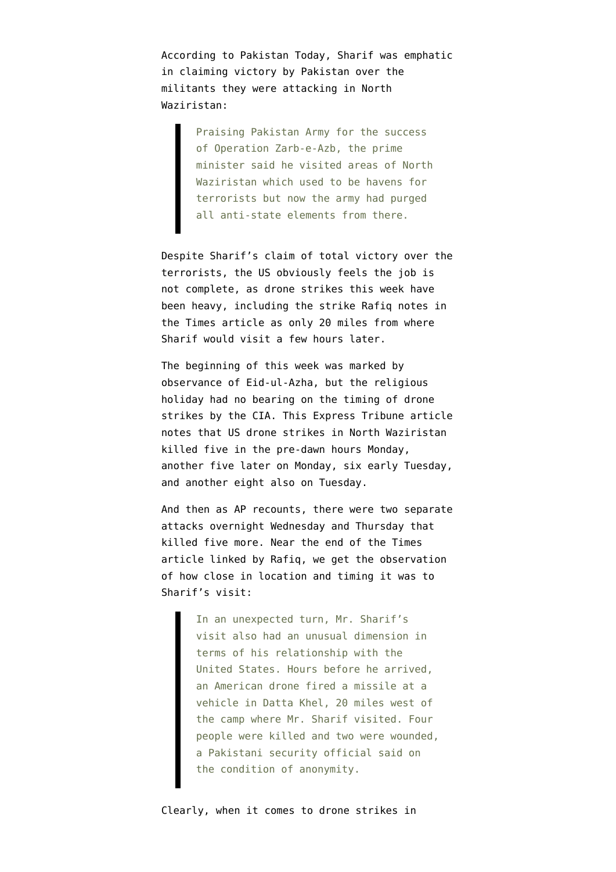According to [Pakistan Today](http://www.pakistantoday.com.pk/2014/10/09/national/sharif-vows-dignified-rehabilitation-of-idps/), Sharif was emphatic in claiming victory by Pakistan over the militants they were attacking in North Waziristan:

> Praising Pakistan Army for the success of Operation Zarb-e-Azb, the prime minister said he visited areas of North Waziristan which used to be havens for terrorists but now the army had purged all anti-state elements from there.

Despite Sharif's claim of total victory over the terrorists, the US obviously feels the job is not complete, as drone strikes this week have been heavy, including the strike Rafiq notes in the Times article as only 20 miles from where Sharif would visit a few hours later.

The beginning of this week was marked by [observance of Eid-ul-Azha,](http://www.timeanddate.com/holidays/pakistan/eid-ul-azha) but the religious holiday had no bearing on the timing of drone strikes by the CIA. [This Express Tribune article](http://tribune.com.pk/story/772615/predator-strikes-25-killed-in-three-drone-attacks-in-n-waziristan/) notes that US drone strikes in North Waziristan killed five in the pre-dawn hours Monday, another five later on Monday, six early Tuesday, and another eight also on Tuesday.

And then as [AP recounts,](http://bigstory.ap.org/article/af9b5c09ae704005bcc75c471bcbee3c/us-drone-strikes-kill-5-militants-nw-pakistan) there were two separate attacks overnight Wednesday and Thursday that killed five more. Near the end of the Times article linked by Rafiq, we get the observation of how close in location and timing it was to Sharif's visit:

> In an unexpected turn, Mr. Sharif's visit also had an unusual dimension in terms of his relationship with the United States. Hours before he arrived, an American drone fired a missile at a vehicle in Datta Khel, 20 miles west of the camp where Mr. Sharif visited. Four people were killed and two were wounded, a Pakistani security official said on the condition of anonymity.

Clearly, when it comes to drone strikes in